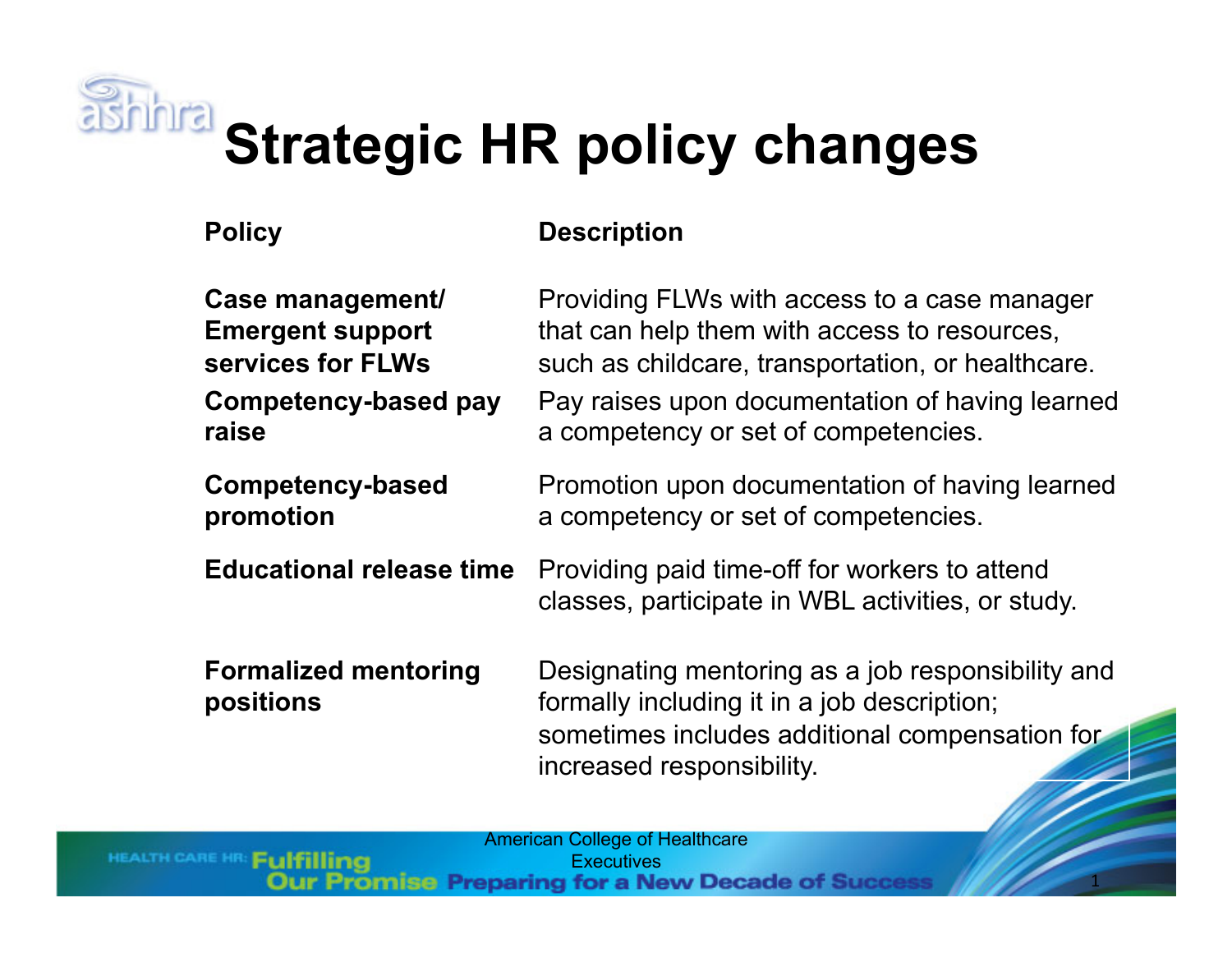

# **Strategic HR policy changes**

HEALTH CARE HR: Fulfilling

### **Policy Description**

| Case management/                         | Providing FLWs with access to a case manager                                                                                                                                    |
|------------------------------------------|---------------------------------------------------------------------------------------------------------------------------------------------------------------------------------|
| <b>Emergent support</b>                  | that can help them with access to resources,                                                                                                                                    |
| services for FLWs                        | such as childcare, transportation, or healthcare.                                                                                                                               |
| Competency-based pay                     | Pay raises upon documentation of having learned                                                                                                                                 |
| raise                                    | a competency or set of competencies.                                                                                                                                            |
| <b>Competency-based</b>                  | Promotion upon documentation of having learned                                                                                                                                  |
| promotion                                | a competency or set of competencies.                                                                                                                                            |
| <b>Educational release time</b>          | Providing paid time-off for workers to attend<br>classes, participate in WBL activities, or study.                                                                              |
| <b>Formalized mentoring</b><br>positions | Designating mentoring as a job responsibility and<br>formally including it in a job description;<br>sometimes includes additional compensation for<br>increased responsibility. |

American College of Healthcare **Lating Executives**<br>**Promise Preparing for a New Decade of Succe** 

 $\overline{1}$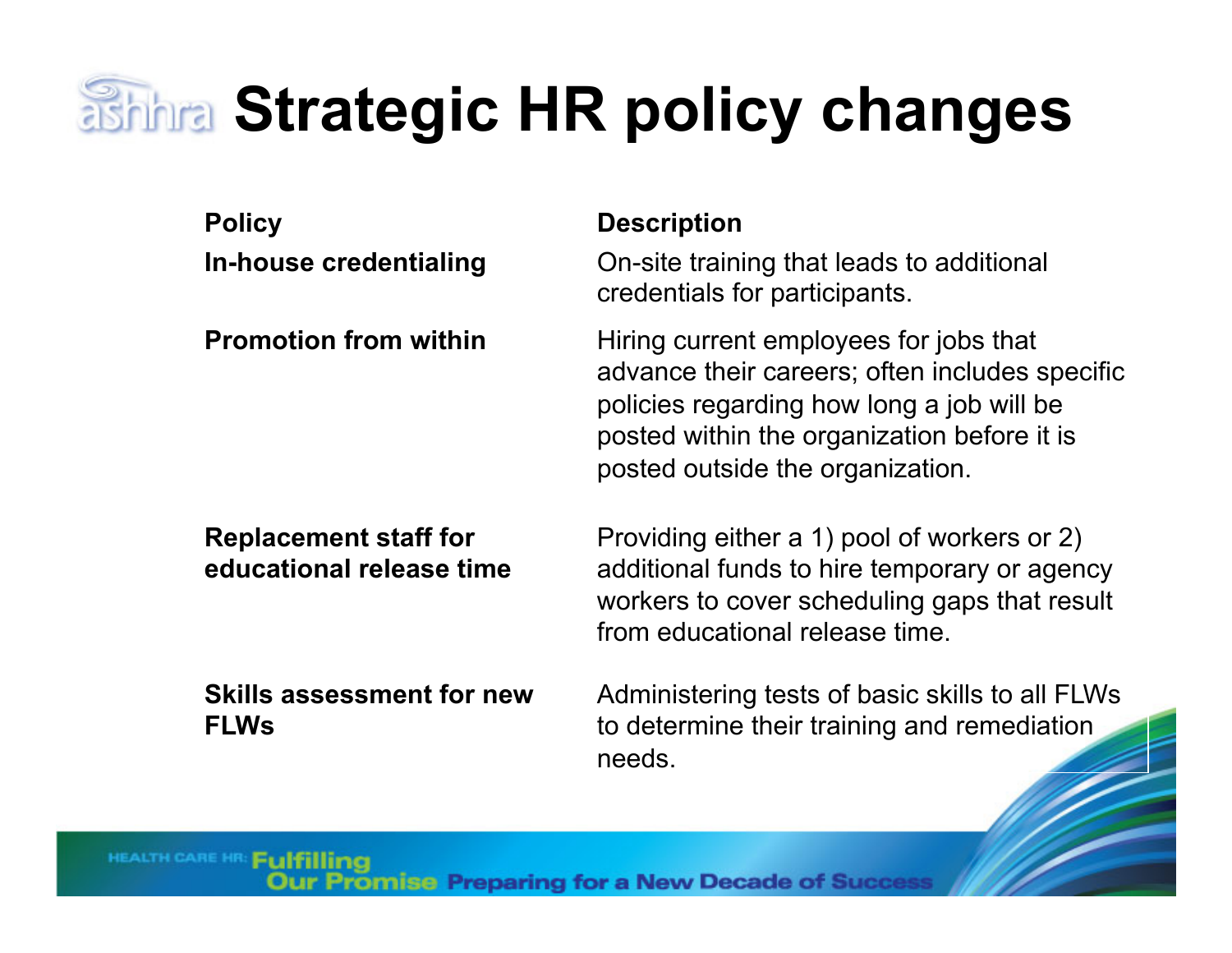### **Shhra Strategic HR policy changes**

| <b>Policy</b><br>In-house credentialing                  | <b>Description</b><br>On-site training that leads to additional<br>credentials for participants.                                                                                                                         |
|----------------------------------------------------------|--------------------------------------------------------------------------------------------------------------------------------------------------------------------------------------------------------------------------|
| <b>Promotion from within</b>                             | Hiring current employees for jobs that<br>advance their careers; often includes specific<br>policies regarding how long a job will be<br>posted within the organization before it is<br>posted outside the organization. |
| <b>Replacement staff for</b><br>educational release time | Providing either a 1) pool of workers or 2)<br>additional funds to hire temporary or agency<br>workers to cover scheduling gaps that result<br>from educational release time.                                            |
| <b>Skills assessment for new</b>                         | Administering tests of basic skills to all FI Ws                                                                                                                                                                         |

**Skills assessment for new FLWs**

Administering tests of basic skills to all FLWs to determine their training and remediation needs.

HEALTH CARE HR: Fulfilling

romise Preparing for a New Decade of Succes